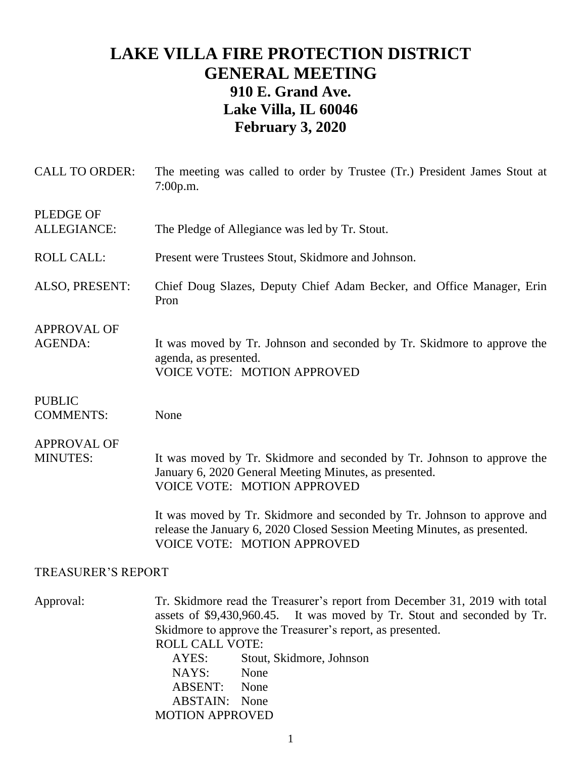## **LAKE VILLA FIRE PROTECTION DISTRICT GENERAL MEETING 910 E. Grand Ave. Lake Villa, IL 60046 February 3, 2020**

| <b>CALL TO ORDER:</b>                 | The meeting was called to order by Trustee (Tr.) President James Stout at<br>7:00p.m.                                                                                                                                                                                                                 |
|---------------------------------------|-------------------------------------------------------------------------------------------------------------------------------------------------------------------------------------------------------------------------------------------------------------------------------------------------------|
| <b>PLEDGE OF</b><br>ALLEGIANCE:       | The Pledge of Allegiance was led by Tr. Stout.                                                                                                                                                                                                                                                        |
| <b>ROLL CALL:</b>                     | Present were Trustees Stout, Skidmore and Johnson.                                                                                                                                                                                                                                                    |
| ALSO, PRESENT:                        | Chief Doug Slazes, Deputy Chief Adam Becker, and Office Manager, Erin<br>Pron                                                                                                                                                                                                                         |
| <b>APPROVAL OF</b><br><b>AGENDA:</b>  | It was moved by Tr. Johnson and seconded by Tr. Skidmore to approve the<br>agenda, as presented.<br><b>VOICE VOTE: MOTION APPROVED</b>                                                                                                                                                                |
| <b>PUBLIC</b><br><b>COMMENTS:</b>     | None                                                                                                                                                                                                                                                                                                  |
| <b>APPROVAL OF</b><br><b>MINUTES:</b> | It was moved by Tr. Skidmore and seconded by Tr. Johnson to approve the<br>January 6, 2020 General Meeting Minutes, as presented.<br><b>VOICE VOTE: MOTION APPROVED</b>                                                                                                                               |
|                                       | It was moved by Tr. Skidmore and seconded by Tr. Johnson to approve and<br>release the January 6, 2020 Closed Session Meeting Minutes, as presented.<br><b>VOICE VOTE: MOTION APPROVED</b>                                                                                                            |
| <b>TREASURER'S REPORT</b>             |                                                                                                                                                                                                                                                                                                       |
| Approval:                             | Tr. Skidmore read the Treasurer's report from December 31, 2019 with total<br>assets of \$9,430,960.45.<br>It was moved by Tr. Stout and seconded by Tr.<br>Skidmore to approve the Treasurer's report, as presented.<br><b>ROLL CALL VOTE:</b><br>Stout, Skidmore, Johnson<br>AYES:<br>NAYS:<br>None |

ABSENT: None ABSTAIN: None MOTION APPROVED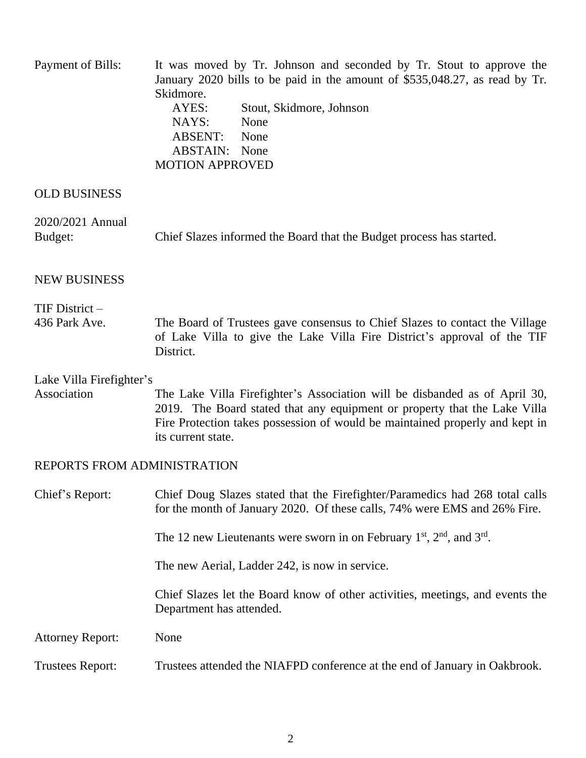| Payment of Bills:                       | It was moved by Tr. Johnson and seconded by Tr. Stout to approve the<br>January 2020 bills to be paid in the amount of \$535,048.27, as read by Tr.<br>Skidmore.<br>AYES:<br>Stout, Skidmore, Johnson<br>NAYS:<br>None<br>ABSENT:<br>None<br><b>ABSTAIN:</b> None<br><b>MOTION APPROVED</b> |
|-----------------------------------------|---------------------------------------------------------------------------------------------------------------------------------------------------------------------------------------------------------------------------------------------------------------------------------------------|
| <b>OLD BUSINESS</b>                     |                                                                                                                                                                                                                                                                                             |
| 2020/2021 Annual<br>Budget:             | Chief Slazes informed the Board that the Budget process has started.                                                                                                                                                                                                                        |
| <b>NEW BUSINESS</b>                     |                                                                                                                                                                                                                                                                                             |
| $TIF$ District $-$                      |                                                                                                                                                                                                                                                                                             |
| 436 Park Ave.                           | The Board of Trustees gave consensus to Chief Slazes to contact the Village<br>of Lake Villa to give the Lake Villa Fire District's approval of the TIF<br>District.                                                                                                                        |
| Lake Villa Firefighter's<br>Association | The Lake Villa Firefighter's Association will be disbanded as of April 30,<br>2019. The Board stated that any equipment or property that the Lake Villa<br>Fire Protection takes possession of would be maintained properly and kept in<br>its current state.                               |
| REPORTS FROM ADMINISTRATION             |                                                                                                                                                                                                                                                                                             |
| Chief's Report:                         | Chief Doug Slazes stated that the Firefighter/Paramedics had 268 total calls<br>for the month of January 2020. Of these calls, 74% were EMS and 26% Fire.                                                                                                                                   |
|                                         | The 12 new Lieutenants were sworn in on February $1st$ , $2nd$ , and $3rd$ .                                                                                                                                                                                                                |
|                                         | The new Aerial, Ladder 242, is now in service.                                                                                                                                                                                                                                              |
|                                         | Chief Slazes let the Board know of other activities, meetings, and events the<br>Department has attended.                                                                                                                                                                                   |
| <b>Attorney Report:</b>                 | None                                                                                                                                                                                                                                                                                        |
| <b>Trustees Report:</b>                 | Trustees attended the NIAFPD conference at the end of January in Oakbrook.                                                                                                                                                                                                                  |